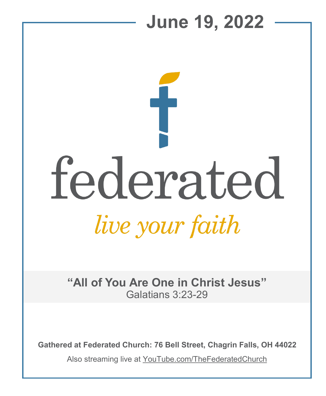

**Gathered at Federated Church: 76 Bell Street, Chagrin Falls, OH 44022**

Also streaming live at YouTube.com/TheFederatedChurch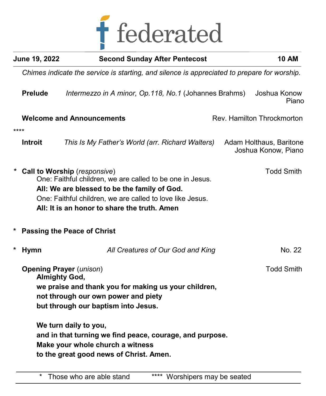

| June 19, 2022                                                                               | <b>Second Sunday After Pentecost</b>                                                                                                                                                                                                                                        | <b>10 AM</b>                                   |  |  |
|---------------------------------------------------------------------------------------------|-----------------------------------------------------------------------------------------------------------------------------------------------------------------------------------------------------------------------------------------------------------------------------|------------------------------------------------|--|--|
| Chimes indicate the service is starting, and silence is appreciated to prepare for worship. |                                                                                                                                                                                                                                                                             |                                                |  |  |
| <b>Prelude</b>                                                                              | Intermezzo in A minor, Op.118, No.1 (Johannes Brahms)                                                                                                                                                                                                                       | Joshua Konow<br>Piano                          |  |  |
|                                                                                             | <b>Welcome and Announcements</b>                                                                                                                                                                                                                                            | Rev. Hamilton Throckmorton                     |  |  |
| ****<br><b>Introit</b>                                                                      | This Is My Father's World (arr. Richard Walters)                                                                                                                                                                                                                            | Adam Holthaus, Baritone<br>Joshua Konow, Piano |  |  |
|                                                                                             | <b>Todd Smith</b><br>Call to Worship (responsive)<br>One: Faithful children, we are called to be one in Jesus.<br>All: We are blessed to be the family of God.<br>One: Faithful children, we are called to love like Jesus.<br>All: It is an honor to share the truth. Amen |                                                |  |  |
|                                                                                             | <b>Passing the Peace of Christ</b>                                                                                                                                                                                                                                          |                                                |  |  |
| $\star$<br><b>Hymn</b>                                                                      | All Creatures of Our God and King                                                                                                                                                                                                                                           | No. 22                                         |  |  |
| <b>Opening Prayer (unison)</b><br><b>Almighty God,</b>                                      | we praise and thank you for making us your children,<br>not through our own power and piety<br>but through our baptism into Jesus.<br>We turn daily to you,                                                                                                                 | <b>Todd Smith</b>                              |  |  |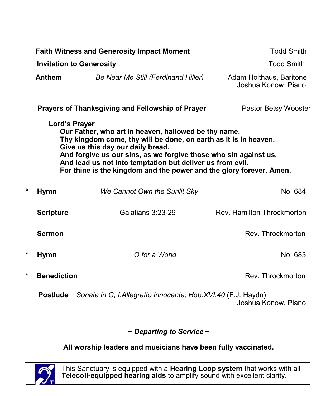| <b>Faith Witness and Generosity Impact Moment</b> |                                                                                                                                                                                                                                                                                                                                                                                        |                                                              | <b>Todd Smith</b>                              |  |  |
|---------------------------------------------------|----------------------------------------------------------------------------------------------------------------------------------------------------------------------------------------------------------------------------------------------------------------------------------------------------------------------------------------------------------------------------------------|--------------------------------------------------------------|------------------------------------------------|--|--|
|                                                   | <b>Invitation to Generosity</b>                                                                                                                                                                                                                                                                                                                                                        |                                                              | <b>Todd Smith</b>                              |  |  |
|                                                   | <b>Anthem</b>                                                                                                                                                                                                                                                                                                                                                                          | Be Near Me Still (Ferdinand Hiller)                          | Adam Holthaus, Baritone<br>Joshua Konow, Piano |  |  |
|                                                   |                                                                                                                                                                                                                                                                                                                                                                                        | Prayers of Thanksgiving and Fellowship of Prayer             | Pastor Betsy Wooster                           |  |  |
|                                                   | Lord's Prayer<br>Our Father, who art in heaven, hallowed be thy name.<br>Thy kingdom come, thy will be done, on earth as it is in heaven.<br>Give us this day our daily bread.<br>And forgive us our sins, as we forgive those who sin against us.<br>And lead us not into temptation but deliver us from evil.<br>For thine is the kingdom and the power and the glory forever. Amen. |                                                              |                                                |  |  |
| *                                                 | <b>Hymn</b>                                                                                                                                                                                                                                                                                                                                                                            | We Cannot Own the Sunlit Sky                                 | No. 684                                        |  |  |
|                                                   | <b>Scripture</b>                                                                                                                                                                                                                                                                                                                                                                       | Galatians 3:23-29                                            | Rev. Hamilton Throckmorton                     |  |  |
|                                                   | <b>Sermon</b>                                                                                                                                                                                                                                                                                                                                                                          |                                                              | Rev. Throckmorton                              |  |  |
| *                                                 | <b>Hymn</b>                                                                                                                                                                                                                                                                                                                                                                            | O for a World                                                | No. 683                                        |  |  |
| *                                                 | <b>Benediction</b>                                                                                                                                                                                                                                                                                                                                                                     |                                                              | Rev. Throckmorton                              |  |  |
|                                                   | <b>Postlude</b>                                                                                                                                                                                                                                                                                                                                                                        | Sonata in G, I.Allegretto innocente, Hob.XVI:40 (F.J. Haydn) | Joshua Konow, Piano                            |  |  |

## **~** *Departing to Service* **~**

## **All worship leaders and musicians have been fully vaccinated.**